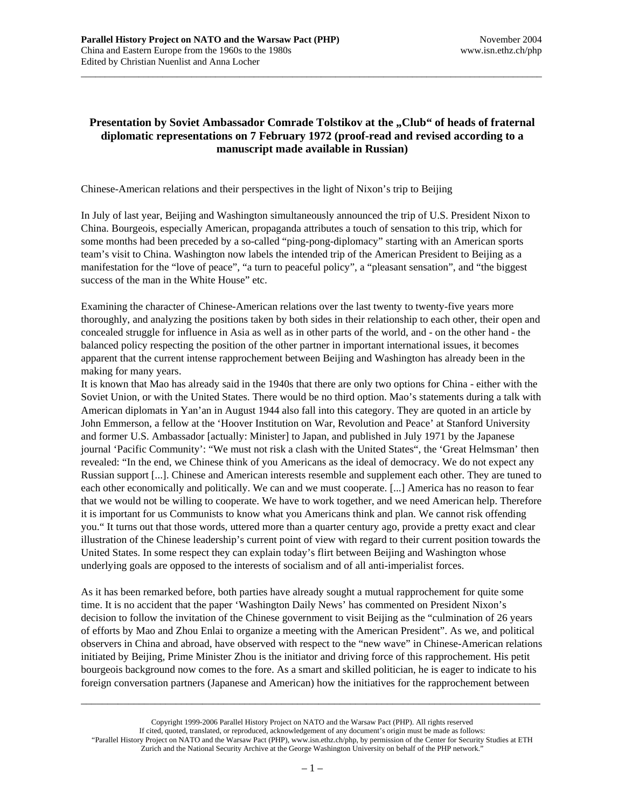## **Presentation by Soviet Ambassador Comrade Tolstikov at the "Club" of heads of fraternal diplomatic representations on 7 February 1972 (proof-read and revised according to a manuscript made available in Russian)**

\_\_\_\_\_\_\_\_\_\_\_\_\_\_\_\_\_\_\_\_\_\_\_\_\_\_\_\_\_\_\_\_\_\_\_\_\_\_\_\_\_\_\_\_\_\_\_\_\_\_\_\_\_\_\_\_\_\_\_\_\_\_\_\_\_\_\_\_\_\_\_\_\_\_\_\_\_\_\_\_\_\_\_\_\_\_\_\_\_\_\_\_\_\_\_\_

Chinese-American relations and their perspectives in the light of Nixon's trip to Beijing

In July of last year, Beijing and Washington simultaneously announced the trip of U.S. President Nixon to China. Bourgeois, especially American, propaganda attributes a touch of sensation to this trip, which for some months had been preceded by a so-called "ping-pong-diplomacy" starting with an American sports team's visit to China. Washington now labels the intended trip of the American President to Beijing as a manifestation for the "love of peace", "a turn to peaceful policy", a "pleasant sensation", and "the biggest success of the man in the White House" etc.

Examining the character of Chinese-American relations over the last twenty to twenty-five years more thoroughly, and analyzing the positions taken by both sides in their relationship to each other, their open and concealed struggle for influence in Asia as well as in other parts of the world, and - on the other hand - the balanced policy respecting the position of the other partner in important international issues, it becomes apparent that the current intense rapprochement between Beijing and Washington has already been in the making for many years.

It is known that Mao has already said in the 1940s that there are only two options for China - either with the Soviet Union, or with the United States. There would be no third option. Mao's statements during a talk with American diplomats in Yan'an in August 1944 also fall into this category. They are quoted in an article by John Emmerson, a fellow at the 'Hoover Institution on War, Revolution and Peace' at Stanford University and former U.S. Ambassador [actually: Minister] to Japan, and published in July 1971 by the Japanese journal 'Pacific Community': "We must not risk a clash with the United States", the 'Great Helmsman' then revealed: "In the end, we Chinese think of you Americans as the ideal of democracy. We do not expect any Russian support [...]. Chinese and American interests resemble and supplement each other. They are tuned to each other economically and politically. We can and we must cooperate. [...] America has no reason to fear that we would not be willing to cooperate. We have to work together, and we need American help. Therefore it is important for us Communists to know what you Americans think and plan. We cannot risk offending you." It turns out that those words, uttered more than a quarter century ago, provide a pretty exact and clear illustration of the Chinese leadership's current point of view with regard to their current position towards the United States. In some respect they can explain today's flirt between Beijing and Washington whose underlying goals are opposed to the interests of socialism and of all anti-imperialist forces.

As it has been remarked before, both parties have already sought a mutual rapprochement for quite some time. It is no accident that the paper 'Washington Daily News' has commented on President Nixon's decision to follow the invitation of the Chinese government to visit Beijing as the "culmination of 26 years of efforts by Mao and Zhou Enlai to organize a meeting with the American President". As we, and political observers in China and abroad, have observed with respect to the "new wave" in Chinese-American relations initiated by Beijing, Prime Minister Zhou is the initiator and driving force of this rapprochement. His petit bourgeois background now comes to the fore. As a smart and skilled politician, he is eager to indicate to his foreign conversation partners (Japanese and American) how the initiatives for the rapprochement between

Copyright 1999-2006 Parallel History Project on NATO and the Warsaw Pact (PHP). All rights reserved If cited, quoted, translated, or reproduced, acknowledgement of any document's origin must be made as follows: "Parallel History Project on NATO and the Warsaw Pact (PHP), www.isn.ethz.ch/php, by permission of the Center for Security Studies at ETH Zurich and the National Security Archive at the George Washington University on behalf of the PHP network."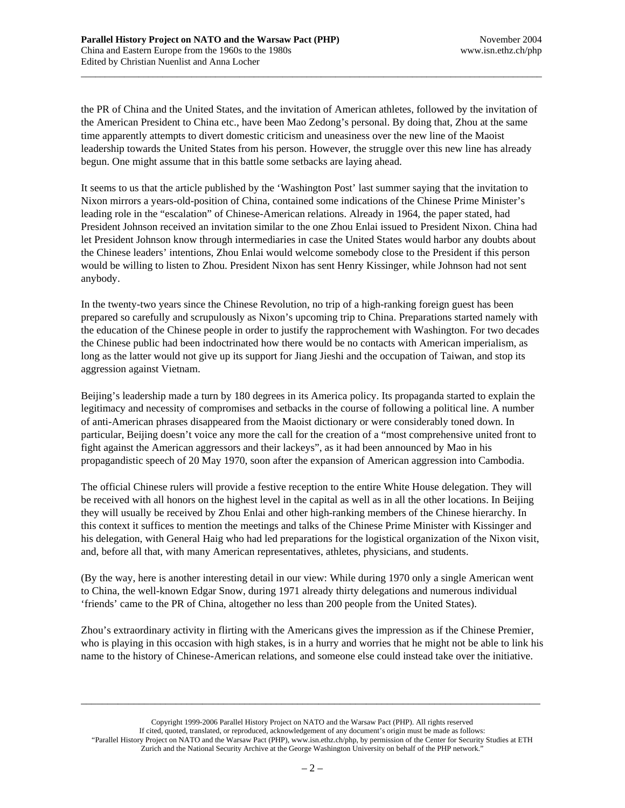the PR of China and the United States, and the invitation of American athletes, followed by the invitation of the American President to China etc., have been Mao Zedong's personal. By doing that, Zhou at the same time apparently attempts to divert domestic criticism and uneasiness over the new line of the Maoist leadership towards the United States from his person. However, the struggle over this new line has already begun. One might assume that in this battle some setbacks are laying ahead.

\_\_\_\_\_\_\_\_\_\_\_\_\_\_\_\_\_\_\_\_\_\_\_\_\_\_\_\_\_\_\_\_\_\_\_\_\_\_\_\_\_\_\_\_\_\_\_\_\_\_\_\_\_\_\_\_\_\_\_\_\_\_\_\_\_\_\_\_\_\_\_\_\_\_\_\_\_\_\_\_\_\_\_\_\_\_\_\_\_\_\_\_\_\_\_\_

It seems to us that the article published by the 'Washington Post' last summer saying that the invitation to Nixon mirrors a years-old-position of China, contained some indications of the Chinese Prime Minister's leading role in the "escalation" of Chinese-American relations. Already in 1964, the paper stated, had President Johnson received an invitation similar to the one Zhou Enlai issued to President Nixon. China had let President Johnson know through intermediaries in case the United States would harbor any doubts about the Chinese leaders' intentions, Zhou Enlai would welcome somebody close to the President if this person would be willing to listen to Zhou. President Nixon has sent Henry Kissinger, while Johnson had not sent anybody.

In the twenty-two years since the Chinese Revolution, no trip of a high-ranking foreign guest has been prepared so carefully and scrupulously as Nixon's upcoming trip to China. Preparations started namely with the education of the Chinese people in order to justify the rapprochement with Washington. For two decades the Chinese public had been indoctrinated how there would be no contacts with American imperialism, as long as the latter would not give up its support for Jiang Jieshi and the occupation of Taiwan, and stop its aggression against Vietnam.

Beijing's leadership made a turn by 180 degrees in its America policy. Its propaganda started to explain the legitimacy and necessity of compromises and setbacks in the course of following a political line. A number of anti-American phrases disappeared from the Maoist dictionary or were considerably toned down. In particular, Beijing doesn't voice any more the call for the creation of a "most comprehensive united front to fight against the American aggressors and their lackeys", as it had been announced by Mao in his propagandistic speech of 20 May 1970, soon after the expansion of American aggression into Cambodia.

The official Chinese rulers will provide a festive reception to the entire White House delegation. They will be received with all honors on the highest level in the capital as well as in all the other locations. In Beijing they will usually be received by Zhou Enlai and other high-ranking members of the Chinese hierarchy. In this context it suffices to mention the meetings and talks of the Chinese Prime Minister with Kissinger and his delegation, with General Haig who had led preparations for the logistical organization of the Nixon visit, and, before all that, with many American representatives, athletes, physicians, and students.

(By the way, here is another interesting detail in our view: While during 1970 only a single American went to China, the well-known Edgar Snow, during 1971 already thirty delegations and numerous individual 'friends' came to the PR of China, altogether no less than 200 people from the United States).

Zhou's extraordinary activity in flirting with the Americans gives the impression as if the Chinese Premier, who is playing in this occasion with high stakes, is in a hurry and worries that he might not be able to link his name to the history of Chinese-American relations, and someone else could instead take over the initiative.

Copyright 1999-2006 Parallel History Project on NATO and the Warsaw Pact (PHP). All rights reserved If cited, quoted, translated, or reproduced, acknowledgement of any document's origin must be made as follows: "Parallel History Project on NATO and the Warsaw Pact (PHP), www.isn.ethz.ch/php, by permission of the Center for Security Studies at ETH Zurich and the National Security Archive at the George Washington University on behalf of the PHP network."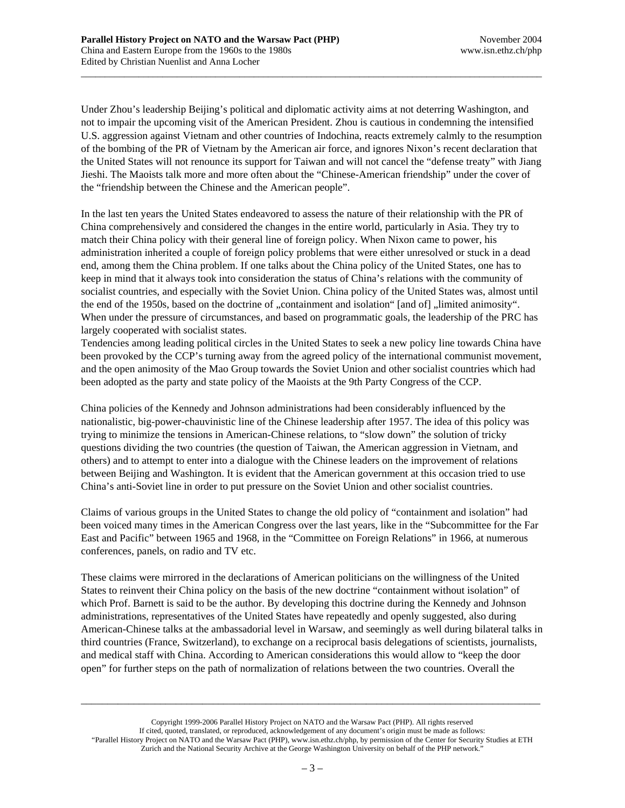Under Zhou's leadership Beijing's political and diplomatic activity aims at not deterring Washington, and not to impair the upcoming visit of the American President. Zhou is cautious in condemning the intensified U.S. aggression against Vietnam and other countries of Indochina, reacts extremely calmly to the resumption of the bombing of the PR of Vietnam by the American air force, and ignores Nixon's recent declaration that the United States will not renounce its support for Taiwan and will not cancel the "defense treaty" with Jiang Jieshi. The Maoists talk more and more often about the "Chinese-American friendship" under the cover of the "friendship between the Chinese and the American people".

\_\_\_\_\_\_\_\_\_\_\_\_\_\_\_\_\_\_\_\_\_\_\_\_\_\_\_\_\_\_\_\_\_\_\_\_\_\_\_\_\_\_\_\_\_\_\_\_\_\_\_\_\_\_\_\_\_\_\_\_\_\_\_\_\_\_\_\_\_\_\_\_\_\_\_\_\_\_\_\_\_\_\_\_\_\_\_\_\_\_\_\_\_\_\_\_

In the last ten years the United States endeavored to assess the nature of their relationship with the PR of China comprehensively and considered the changes in the entire world, particularly in Asia. They try to match their China policy with their general line of foreign policy. When Nixon came to power, his administration inherited a couple of foreign policy problems that were either unresolved or stuck in a dead end, among them the China problem. If one talks about the China policy of the United States, one has to keep in mind that it always took into consideration the status of China's relations with the community of socialist countries, and especially with the Soviet Union. China policy of the United States was, almost until the end of the 1950s, based on the doctrine of "containment and isolation" [and of] "limited animosity". When under the pressure of circumstances, and based on programmatic goals, the leadership of the PRC has largely cooperated with socialist states.

Tendencies among leading political circles in the United States to seek a new policy line towards China have been provoked by the CCP's turning away from the agreed policy of the international communist movement, and the open animosity of the Mao Group towards the Soviet Union and other socialist countries which had been adopted as the party and state policy of the Maoists at the 9th Party Congress of the CCP.

China policies of the Kennedy and Johnson administrations had been considerably influenced by the nationalistic, big-power-chauvinistic line of the Chinese leadership after 1957. The idea of this policy was trying to minimize the tensions in American-Chinese relations, to "slow down" the solution of tricky questions dividing the two countries (the question of Taiwan, the American aggression in Vietnam, and others) and to attempt to enter into a dialogue with the Chinese leaders on the improvement of relations between Beijing and Washington. It is evident that the American government at this occasion tried to use China's anti-Soviet line in order to put pressure on the Soviet Union and other socialist countries.

Claims of various groups in the United States to change the old policy of "containment and isolation" had been voiced many times in the American Congress over the last years, like in the "Subcommittee for the Far East and Pacific" between 1965 and 1968, in the "Committee on Foreign Relations" in 1966, at numerous conferences, panels, on radio and TV etc.

These claims were mirrored in the declarations of American politicians on the willingness of the United States to reinvent their China policy on the basis of the new doctrine "containment without isolation" of which Prof. Barnett is said to be the author. By developing this doctrine during the Kennedy and Johnson administrations, representatives of the United States have repeatedly and openly suggested, also during American-Chinese talks at the ambassadorial level in Warsaw, and seemingly as well during bilateral talks in third countries (France, Switzerland), to exchange on a reciprocal basis delegations of scientists, journalists, and medical staff with China. According to American considerations this would allow to "keep the door open" for further steps on the path of normalization of relations between the two countries. Overall the

Copyright 1999-2006 Parallel History Project on NATO and the Warsaw Pact (PHP). All rights reserved If cited, quoted, translated, or reproduced, acknowledgement of any document's origin must be made as follows: "Parallel History Project on NATO and the Warsaw Pact (PHP), www.isn.ethz.ch/php, by permission of the Center for Security Studies at ETH Zurich and the National Security Archive at the George Washington University on behalf of the PHP network."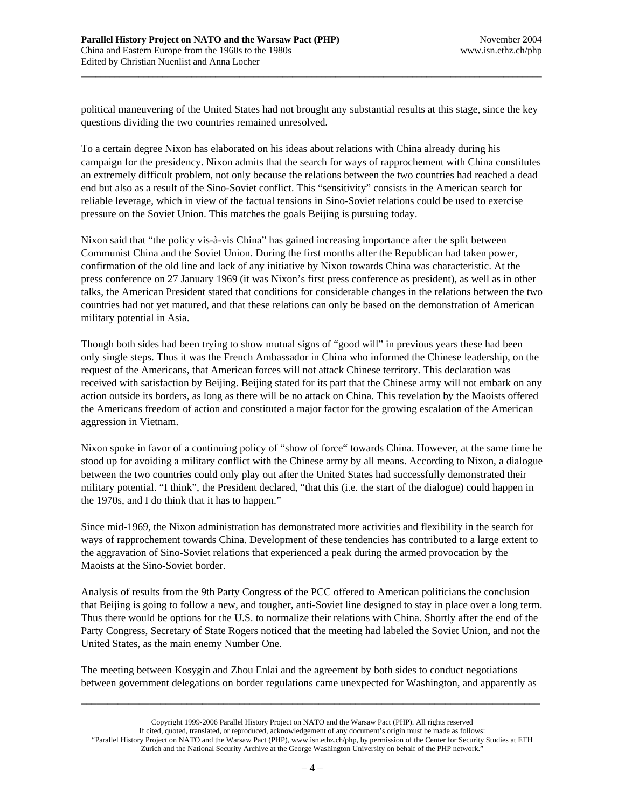political maneuvering of the United States had not brought any substantial results at this stage, since the key questions dividing the two countries remained unresolved.

\_\_\_\_\_\_\_\_\_\_\_\_\_\_\_\_\_\_\_\_\_\_\_\_\_\_\_\_\_\_\_\_\_\_\_\_\_\_\_\_\_\_\_\_\_\_\_\_\_\_\_\_\_\_\_\_\_\_\_\_\_\_\_\_\_\_\_\_\_\_\_\_\_\_\_\_\_\_\_\_\_\_\_\_\_\_\_\_\_\_\_\_\_\_\_\_

To a certain degree Nixon has elaborated on his ideas about relations with China already during his campaign for the presidency. Nixon admits that the search for ways of rapprochement with China constitutes an extremely difficult problem, not only because the relations between the two countries had reached a dead end but also as a result of the Sino-Soviet conflict. This "sensitivity" consists in the American search for reliable leverage, which in view of the factual tensions in Sino-Soviet relations could be used to exercise pressure on the Soviet Union. This matches the goals Beijing is pursuing today.

Nixon said that "the policy vis-à-vis China" has gained increasing importance after the split between Communist China and the Soviet Union. During the first months after the Republican had taken power, confirmation of the old line and lack of any initiative by Nixon towards China was characteristic. At the press conference on 27 January 1969 (it was Nixon's first press conference as president), as well as in other talks, the American President stated that conditions for considerable changes in the relations between the two countries had not yet matured, and that these relations can only be based on the demonstration of American military potential in Asia.

Though both sides had been trying to show mutual signs of "good will" in previous years these had been only single steps. Thus it was the French Ambassador in China who informed the Chinese leadership, on the request of the Americans, that American forces will not attack Chinese territory. This declaration was received with satisfaction by Beijing. Beijing stated for its part that the Chinese army will not embark on any action outside its borders, as long as there will be no attack on China. This revelation by the Maoists offered the Americans freedom of action and constituted a major factor for the growing escalation of the American aggression in Vietnam.

Nixon spoke in favor of a continuing policy of "show of force" towards China. However, at the same time he stood up for avoiding a military conflict with the Chinese army by all means. According to Nixon, a dialogue between the two countries could only play out after the United States had successfully demonstrated their military potential. "I think", the President declared, "that this (i.e. the start of the dialogue) could happen in the 1970s, and I do think that it has to happen."

Since mid-1969, the Nixon administration has demonstrated more activities and flexibility in the search for ways of rapprochement towards China. Development of these tendencies has contributed to a large extent to the aggravation of Sino-Soviet relations that experienced a peak during the armed provocation by the Maoists at the Sino-Soviet border.

Analysis of results from the 9th Party Congress of the PCC offered to American politicians the conclusion that Beijing is going to follow a new, and tougher, anti-Soviet line designed to stay in place over a long term. Thus there would be options for the U.S. to normalize their relations with China. Shortly after the end of the Party Congress, Secretary of State Rogers noticed that the meeting had labeled the Soviet Union, and not the United States, as the main enemy Number One.

The meeting between Kosygin and Zhou Enlai and the agreement by both sides to conduct negotiations between government delegations on border regulations came unexpected for Washington, and apparently as

Copyright 1999-2006 Parallel History Project on NATO and the Warsaw Pact (PHP). All rights reserved If cited, quoted, translated, or reproduced, acknowledgement of any document's origin must be made as follows: "Parallel History Project on NATO and the Warsaw Pact (PHP), www.isn.ethz.ch/php, by permission of the Center for Security Studies at ETH Zurich and the National Security Archive at the George Washington University on behalf of the PHP network."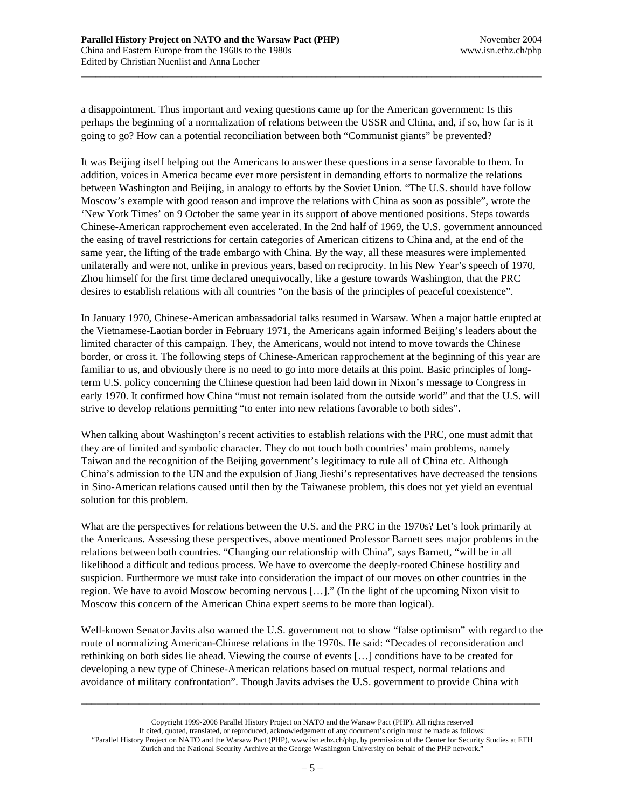a disappointment. Thus important and vexing questions came up for the American government: Is this perhaps the beginning of a normalization of relations between the USSR and China, and, if so, how far is it going to go? How can a potential reconciliation between both "Communist giants" be prevented?

\_\_\_\_\_\_\_\_\_\_\_\_\_\_\_\_\_\_\_\_\_\_\_\_\_\_\_\_\_\_\_\_\_\_\_\_\_\_\_\_\_\_\_\_\_\_\_\_\_\_\_\_\_\_\_\_\_\_\_\_\_\_\_\_\_\_\_\_\_\_\_\_\_\_\_\_\_\_\_\_\_\_\_\_\_\_\_\_\_\_\_\_\_\_\_\_

It was Beijing itself helping out the Americans to answer these questions in a sense favorable to them. In addition, voices in America became ever more persistent in demanding efforts to normalize the relations between Washington and Beijing, in analogy to efforts by the Soviet Union. "The U.S. should have follow Moscow's example with good reason and improve the relations with China as soon as possible", wrote the 'New York Times' on 9 October the same year in its support of above mentioned positions. Steps towards Chinese-American rapprochement even accelerated. In the 2nd half of 1969, the U.S. government announced the easing of travel restrictions for certain categories of American citizens to China and, at the end of the same year, the lifting of the trade embargo with China. By the way, all these measures were implemented unilaterally and were not, unlike in previous years, based on reciprocity. In his New Year's speech of 1970, Zhou himself for the first time declared unequivocally, like a gesture towards Washington, that the PRC desires to establish relations with all countries "on the basis of the principles of peaceful coexistence".

In January 1970, Chinese-American ambassadorial talks resumed in Warsaw. When a major battle erupted at the Vietnamese-Laotian border in February 1971, the Americans again informed Beijing's leaders about the limited character of this campaign. They, the Americans, would not intend to move towards the Chinese border, or cross it. The following steps of Chinese-American rapprochement at the beginning of this year are familiar to us, and obviously there is no need to go into more details at this point. Basic principles of longterm U.S. policy concerning the Chinese question had been laid down in Nixon's message to Congress in early 1970. It confirmed how China "must not remain isolated from the outside world" and that the U.S. will strive to develop relations permitting "to enter into new relations favorable to both sides".

When talking about Washington's recent activities to establish relations with the PRC, one must admit that they are of limited and symbolic character. They do not touch both countries' main problems, namely Taiwan and the recognition of the Beijing government's legitimacy to rule all of China etc. Although China's admission to the UN and the expulsion of Jiang Jieshi's representatives have decreased the tensions in Sino-American relations caused until then by the Taiwanese problem, this does not yet yield an eventual solution for this problem.

What are the perspectives for relations between the U.S. and the PRC in the 1970s? Let's look primarily at the Americans. Assessing these perspectives, above mentioned Professor Barnett sees major problems in the relations between both countries. "Changing our relationship with China", says Barnett, "will be in all likelihood a difficult and tedious process. We have to overcome the deeply-rooted Chinese hostility and suspicion. Furthermore we must take into consideration the impact of our moves on other countries in the region. We have to avoid Moscow becoming nervous […]." (In the light of the upcoming Nixon visit to Moscow this concern of the American China expert seems to be more than logical).

Well-known Senator Javits also warned the U.S. government not to show "false optimism" with regard to the route of normalizing American-Chinese relations in the 1970s. He said: "Decades of reconsideration and rethinking on both sides lie ahead. Viewing the course of events […] conditions have to be created for developing a new type of Chinese-American relations based on mutual respect, normal relations and avoidance of military confrontation". Though Javits advises the U.S. government to provide China with

Copyright 1999-2006 Parallel History Project on NATO and the Warsaw Pact (PHP). All rights reserved If cited, quoted, translated, or reproduced, acknowledgement of any document's origin must be made as follows: "Parallel History Project on NATO and the Warsaw Pact (PHP), www.isn.ethz.ch/php, by permission of the Center for Security Studies at ETH Zurich and the National Security Archive at the George Washington University on behalf of the PHP network."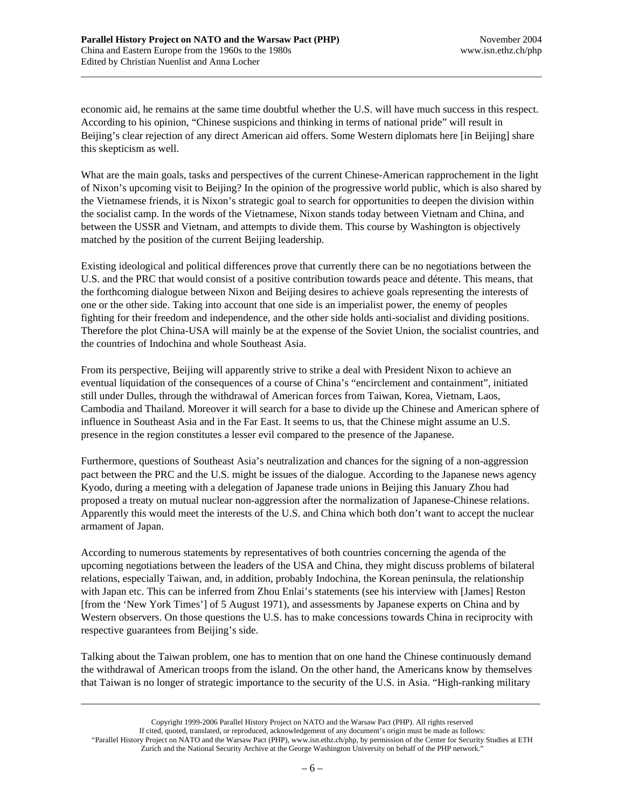economic aid, he remains at the same time doubtful whether the U.S. will have much success in this respect. According to his opinion, "Chinese suspicions and thinking in terms of national pride" will result in Beijing's clear rejection of any direct American aid offers. Some Western diplomats here [in Beijing] share this skepticism as well.

\_\_\_\_\_\_\_\_\_\_\_\_\_\_\_\_\_\_\_\_\_\_\_\_\_\_\_\_\_\_\_\_\_\_\_\_\_\_\_\_\_\_\_\_\_\_\_\_\_\_\_\_\_\_\_\_\_\_\_\_\_\_\_\_\_\_\_\_\_\_\_\_\_\_\_\_\_\_\_\_\_\_\_\_\_\_\_\_\_\_\_\_\_\_\_\_

What are the main goals, tasks and perspectives of the current Chinese-American rapprochement in the light of Nixon's upcoming visit to Beijing? In the opinion of the progressive world public, which is also shared by the Vietnamese friends, it is Nixon's strategic goal to search for opportunities to deepen the division within the socialist camp. In the words of the Vietnamese, Nixon stands today between Vietnam and China, and between the USSR and Vietnam, and attempts to divide them. This course by Washington is objectively matched by the position of the current Beijing leadership.

Existing ideological and political differences prove that currently there can be no negotiations between the U.S. and the PRC that would consist of a positive contribution towards peace and détente. This means, that the forthcoming dialogue between Nixon and Beijing desires to achieve goals representing the interests of one or the other side. Taking into account that one side is an imperialist power, the enemy of peoples fighting for their freedom and independence, and the other side holds anti-socialist and dividing positions. Therefore the plot China-USA will mainly be at the expense of the Soviet Union, the socialist countries, and the countries of Indochina and whole Southeast Asia.

From its perspective, Beijing will apparently strive to strike a deal with President Nixon to achieve an eventual liquidation of the consequences of a course of China's "encirclement and containment", initiated still under Dulles, through the withdrawal of American forces from Taiwan, Korea, Vietnam, Laos, Cambodia and Thailand. Moreover it will search for a base to divide up the Chinese and American sphere of influence in Southeast Asia and in the Far East. It seems to us, that the Chinese might assume an U.S. presence in the region constitutes a lesser evil compared to the presence of the Japanese.

Furthermore, questions of Southeast Asia's neutralization and chances for the signing of a non-aggression pact between the PRC and the U.S. might be issues of the dialogue. According to the Japanese news agency Kyodo, during a meeting with a delegation of Japanese trade unions in Beijing this January Zhou had proposed a treaty on mutual nuclear non-aggression after the normalization of Japanese-Chinese relations. Apparently this would meet the interests of the U.S. and China which both don't want to accept the nuclear armament of Japan.

According to numerous statements by representatives of both countries concerning the agenda of the upcoming negotiations between the leaders of the USA and China, they might discuss problems of bilateral relations, especially Taiwan, and, in addition, probably Indochina, the Korean peninsula, the relationship with Japan etc. This can be inferred from Zhou Enlai's statements (see his interview with [James] Reston [from the 'New York Times'] of 5 August 1971), and assessments by Japanese experts on China and by Western observers. On those questions the U.S. has to make concessions towards China in reciprocity with respective guarantees from Beijing's side.

Talking about the Taiwan problem, one has to mention that on one hand the Chinese continuously demand the withdrawal of American troops from the island. On the other hand, the Americans know by themselves that Taiwan is no longer of strategic importance to the security of the U.S. in Asia. "High-ranking military

Copyright 1999-2006 Parallel History Project on NATO and the Warsaw Pact (PHP). All rights reserved If cited, quoted, translated, or reproduced, acknowledgement of any document's origin must be made as follows: "Parallel History Project on NATO and the Warsaw Pact (PHP), www.isn.ethz.ch/php, by permission of the Center for Security Studies at ETH Zurich and the National Security Archive at the George Washington University on behalf of the PHP network."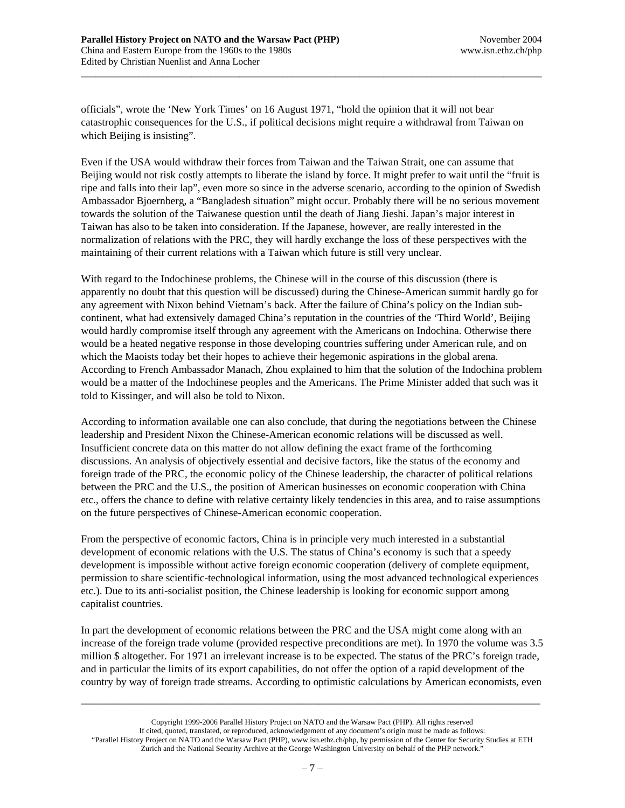officials", wrote the 'New York Times' on 16 August 1971, "hold the opinion that it will not bear catastrophic consequences for the U.S., if political decisions might require a withdrawal from Taiwan on which Beijing is insisting".

\_\_\_\_\_\_\_\_\_\_\_\_\_\_\_\_\_\_\_\_\_\_\_\_\_\_\_\_\_\_\_\_\_\_\_\_\_\_\_\_\_\_\_\_\_\_\_\_\_\_\_\_\_\_\_\_\_\_\_\_\_\_\_\_\_\_\_\_\_\_\_\_\_\_\_\_\_\_\_\_\_\_\_\_\_\_\_\_\_\_\_\_\_\_\_\_

Even if the USA would withdraw their forces from Taiwan and the Taiwan Strait, one can assume that Beijing would not risk costly attempts to liberate the island by force. It might prefer to wait until the "fruit is ripe and falls into their lap", even more so since in the adverse scenario, according to the opinion of Swedish Ambassador Bjoernberg, a "Bangladesh situation" might occur. Probably there will be no serious movement towards the solution of the Taiwanese question until the death of Jiang Jieshi. Japan's major interest in Taiwan has also to be taken into consideration. If the Japanese, however, are really interested in the normalization of relations with the PRC, they will hardly exchange the loss of these perspectives with the maintaining of their current relations with a Taiwan which future is still very unclear.

With regard to the Indochinese problems, the Chinese will in the course of this discussion (there is apparently no doubt that this question will be discussed) during the Chinese-American summit hardly go for any agreement with Nixon behind Vietnam's back. After the failure of China's policy on the Indian subcontinent, what had extensively damaged China's reputation in the countries of the 'Third World', Beijing would hardly compromise itself through any agreement with the Americans on Indochina. Otherwise there would be a heated negative response in those developing countries suffering under American rule, and on which the Maoists today bet their hopes to achieve their hegemonic aspirations in the global arena. According to French Ambassador Manach, Zhou explained to him that the solution of the Indochina problem would be a matter of the Indochinese peoples and the Americans. The Prime Minister added that such was it told to Kissinger, and will also be told to Nixon.

According to information available one can also conclude, that during the negotiations between the Chinese leadership and President Nixon the Chinese-American economic relations will be discussed as well. Insufficient concrete data on this matter do not allow defining the exact frame of the forthcoming discussions. An analysis of objectively essential and decisive factors, like the status of the economy and foreign trade of the PRC, the economic policy of the Chinese leadership, the character of political relations between the PRC and the U.S., the position of American businesses on economic cooperation with China etc., offers the chance to define with relative certainty likely tendencies in this area, and to raise assumptions on the future perspectives of Chinese-American economic cooperation.

From the perspective of economic factors, China is in principle very much interested in a substantial development of economic relations with the U.S. The status of China's economy is such that a speedy development is impossible without active foreign economic cooperation (delivery of complete equipment, permission to share scientific-technological information, using the most advanced technological experiences etc.). Due to its anti-socialist position, the Chinese leadership is looking for economic support among capitalist countries.

In part the development of economic relations between the PRC and the USA might come along with an increase of the foreign trade volume (provided respective preconditions are met). In 1970 the volume was 3.5 million \$ altogether. For 1971 an irrelevant increase is to be expected. The status of the PRC's foreign trade, and in particular the limits of its export capabilities, do not offer the option of a rapid development of the country by way of foreign trade streams. According to optimistic calculations by American economists, even

Copyright 1999-2006 Parallel History Project on NATO and the Warsaw Pact (PHP). All rights reserved If cited, quoted, translated, or reproduced, acknowledgement of any document's origin must be made as follows: "Parallel History Project on NATO and the Warsaw Pact (PHP), www.isn.ethz.ch/php, by permission of the Center for Security Studies at ETH Zurich and the National Security Archive at the George Washington University on behalf of the PHP network."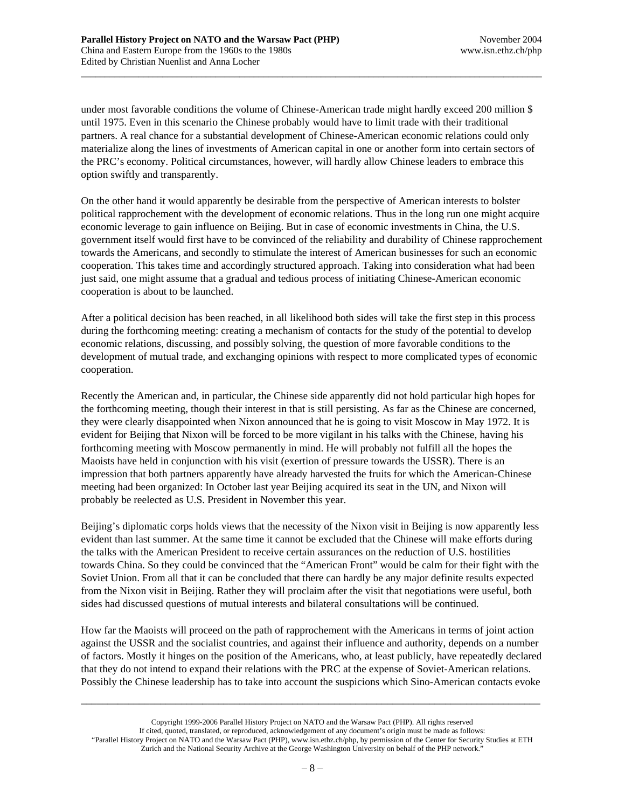under most favorable conditions the volume of Chinese-American trade might hardly exceed 200 million \$ until 1975. Even in this scenario the Chinese probably would have to limit trade with their traditional partners. A real chance for a substantial development of Chinese-American economic relations could only materialize along the lines of investments of American capital in one or another form into certain sectors of the PRC's economy. Political circumstances, however, will hardly allow Chinese leaders to embrace this option swiftly and transparently.

\_\_\_\_\_\_\_\_\_\_\_\_\_\_\_\_\_\_\_\_\_\_\_\_\_\_\_\_\_\_\_\_\_\_\_\_\_\_\_\_\_\_\_\_\_\_\_\_\_\_\_\_\_\_\_\_\_\_\_\_\_\_\_\_\_\_\_\_\_\_\_\_\_\_\_\_\_\_\_\_\_\_\_\_\_\_\_\_\_\_\_\_\_\_\_\_

On the other hand it would apparently be desirable from the perspective of American interests to bolster political rapprochement with the development of economic relations. Thus in the long run one might acquire economic leverage to gain influence on Beijing. But in case of economic investments in China, the U.S. government itself would first have to be convinced of the reliability and durability of Chinese rapprochement towards the Americans, and secondly to stimulate the interest of American businesses for such an economic cooperation. This takes time and accordingly structured approach. Taking into consideration what had been just said, one might assume that a gradual and tedious process of initiating Chinese-American economic cooperation is about to be launched.

After a political decision has been reached, in all likelihood both sides will take the first step in this process during the forthcoming meeting: creating a mechanism of contacts for the study of the potential to develop economic relations, discussing, and possibly solving, the question of more favorable conditions to the development of mutual trade, and exchanging opinions with respect to more complicated types of economic cooperation.

Recently the American and, in particular, the Chinese side apparently did not hold particular high hopes for the forthcoming meeting, though their interest in that is still persisting. As far as the Chinese are concerned, they were clearly disappointed when Nixon announced that he is going to visit Moscow in May 1972. It is evident for Beijing that Nixon will be forced to be more vigilant in his talks with the Chinese, having his forthcoming meeting with Moscow permanently in mind. He will probably not fulfill all the hopes the Maoists have held in conjunction with his visit (exertion of pressure towards the USSR). There is an impression that both partners apparently have already harvested the fruits for which the American-Chinese meeting had been organized: In October last year Beijing acquired its seat in the UN, and Nixon will probably be reelected as U.S. President in November this year.

Beijing's diplomatic corps holds views that the necessity of the Nixon visit in Beijing is now apparently less evident than last summer. At the same time it cannot be excluded that the Chinese will make efforts during the talks with the American President to receive certain assurances on the reduction of U.S. hostilities towards China. So they could be convinced that the "American Front" would be calm for their fight with the Soviet Union. From all that it can be concluded that there can hardly be any major definite results expected from the Nixon visit in Beijing. Rather they will proclaim after the visit that negotiations were useful, both sides had discussed questions of mutual interests and bilateral consultations will be continued.

How far the Maoists will proceed on the path of rapprochement with the Americans in terms of joint action against the USSR and the socialist countries, and against their influence and authority, depends on a number of factors. Mostly it hinges on the position of the Americans, who, at least publicly, have repeatedly declared that they do not intend to expand their relations with the PRC at the expense of Soviet-American relations. Possibly the Chinese leadership has to take into account the suspicions which Sino-American contacts evoke

Copyright 1999-2006 Parallel History Project on NATO and the Warsaw Pact (PHP). All rights reserved If cited, quoted, translated, or reproduced, acknowledgement of any document's origin must be made as follows: "Parallel History Project on NATO and the Warsaw Pact (PHP), www.isn.ethz.ch/php, by permission of the Center for Security Studies at ETH Zurich and the National Security Archive at the George Washington University on behalf of the PHP network."